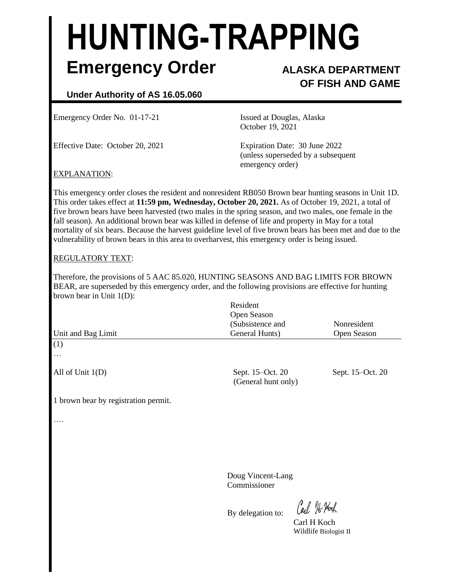# **HUNTING-TRAPPING Emergency Order ALASKA DEPARTMENT**

# **OF FISH AND GAME**

## **Under Authority of AS 16.05.060**

Emergency Order No. 01-17-21 Issued at Douglas, Alaska

Effective Date: October 20, 2021 Expiration Date: 30 June 2022

October 19, 2021

(unless superseded by a subsequent emergency order)

### EXPLANATION:

This emergency order closes the resident and nonresident RB050 Brown bear hunting seasons in Unit 1D. This order takes effect at **11:59 pm, Wednesday, October 20, 2021.** As of October 19, 2021, a total of five brown bears have been harvested (two males in the spring season, and two males, one female in the fall season). An additional brown bear was killed in defense of life and property in May for a total mortality of six bears. Because the harvest guideline level of five brown bears has been met and due to the vulnerability of brown bears in this area to overharvest, this emergency order is being issued.

#### REGULATORY TEXT:

Therefore, the provisions of 5 AAC 85.020, HUNTING SEASONS AND BAG LIMITS FOR BROWN BEAR, are superseded by this emergency order, and the following provisions are effective for hunting brown bear in Unit 1(D):

|                                      | Resident<br>Open Season                 |                  |
|--------------------------------------|-----------------------------------------|------------------|
|                                      | (Subsistence and                        | Nonresident      |
| Unit and Bag Limit                   | General Hunts)                          | Open Season      |
| (1)                                  |                                         |                  |
| $\cdots$                             |                                         |                  |
| All of Unit $1(D)$                   | Sept. 15-Oct. 20<br>(General hunt only) | Sept. 15–Oct. 20 |
| 1 brown bear by registration permit. |                                         |                  |
| $\cdots$                             |                                         |                  |
|                                      |                                         |                  |

 Doug Vincent-Lang Commissioner

By delegation to:

Carl He Noch

Carl H Koch Wildlife Biologist II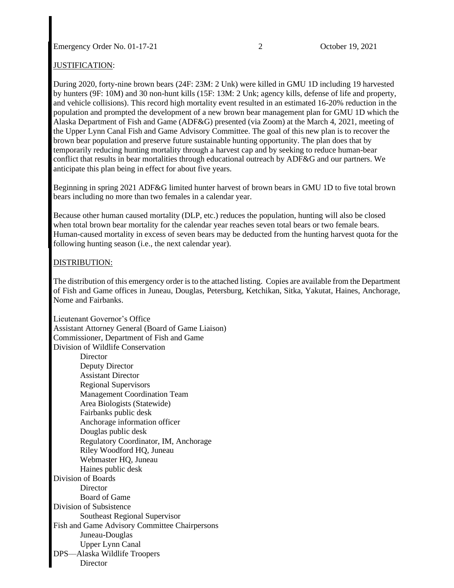Emergency Order No. 01-17-21 2 October 19, 2021

#### JUSTIFICATION:

During 2020, forty-nine brown bears (24F: 23M: 2 Unk) were killed in GMU 1D including 19 harvested by hunters (9F: 10M) and 30 non-hunt kills (15F: 13M: 2 Unk; agency kills, defense of life and property, and vehicle collisions). This record high mortality event resulted in an estimated 16-20% reduction in the population and prompted the development of a new brown bear management plan for GMU 1D which the Alaska Department of Fish and Game (ADF&G) presented (via Zoom) at the March 4, 2021, meeting of the Upper Lynn Canal Fish and Game Advisory Committee. The goal of this new plan is to recover the brown bear population and preserve future sustainable hunting opportunity. The plan does that by temporarily reducing hunting mortality through a harvest cap and by seeking to reduce human-bear conflict that results in bear mortalities through educational outreach by ADF&G and our partners. We anticipate this plan being in effect for about five years.

Beginning in spring 2021 ADF&G limited hunter harvest of brown bears in GMU 1D to five total brown bears including no more than two females in a calendar year.

Because other human caused mortality (DLP, etc.) reduces the population, hunting will also be closed when total brown bear mortality for the calendar year reaches seven total bears or two female bears. Human-caused mortality in excess of seven bears may be deducted from the hunting harvest quota for the following hunting season (i.e., the next calendar year).

#### DISTRIBUTION:

The distribution of this emergency order is to the attached listing. Copies are available from the Department of Fish and Game offices in Juneau, Douglas, Petersburg, Ketchikan, Sitka, Yakutat, Haines, Anchorage, Nome and Fairbanks.

Lieutenant Governor's Office Assistant Attorney General (Board of Game Liaison) Commissioner, Department of Fish and Game Division of Wildlife Conservation **Director** Deputy Director Assistant Director Regional Supervisors Management Coordination Team Area Biologists (Statewide) Fairbanks public desk Anchorage information officer Douglas public desk Regulatory Coordinator, IM, Anchorage Riley Woodford HQ, Juneau Webmaster HQ, Juneau Haines public desk Division of Boards **Director** Board of Game Division of Subsistence Southeast Regional Supervisor Fish and Game Advisory Committee Chairpersons Juneau-Douglas Upper Lynn Canal DPS––Alaska Wildlife Troopers **Director**